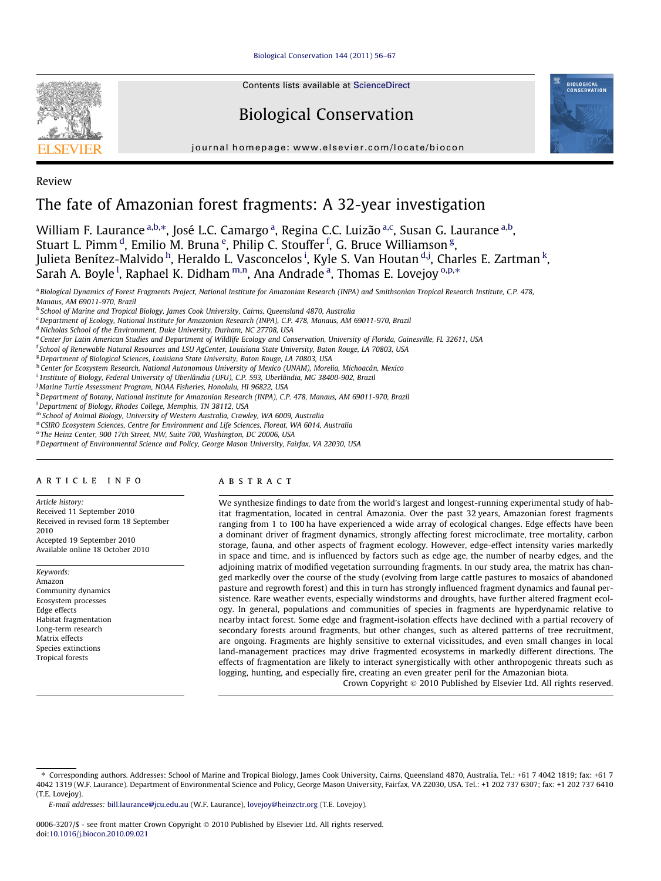[Biological Conservation 144 \(2011\) 56–67](http://dx.doi.org/10.1016/j.biocon.2010.09.021)



Contents lists available at [ScienceDirect](http://www.sciencedirect.com/science/journal/00063207)

# Biological Conservation



journal homepage: [www.elsevier.com/locate/biocon](http://www.elsevier.com/locate/biocon)

Review

# The fate of Amazonian forest fragments: A 32-year investigation

William F. Laurance <sup>a,b,</sup>\*, José L.C. Camargo <sup>a</sup>, Regina C.C. Luizão <sup>a,c</sup>, Susan G. Laurance <sup>a,b</sup>, Stuart L. Pimm <sup>d</sup>, Emilio M. Bruna <sup>e</sup>, Philip C. Stouffer <sup>f</sup>, G. Bruce Williamson <sup>g</sup>, Julieta Benítez-Malvido <sup>h</sup>, Heraldo L. Vasconcelos <sup>i</sup>, Kyle S. Van Houtan <sup>d,j</sup>, Charles E. Zartman <sup>k</sup>, Sarah A. Boyle <sup>l</sup>, Raphael K. Didham <sup>m,n</sup>, Ana Andrade <sup>a</sup>, Thomas E. Lovejoy <sup>0,p,</sup>\*

a Biological Dynamics of Forest Fragments Project, National Institute for Amazonian Research (INPA) and Smithsonian Tropical Research Institute, C.P. 478,

<sup>c</sup> Department of Ecology, National Institute for Amazonian Research (INPA), C.P. 478, Manaus, AM 69011-970, Brazil

<sup>d</sup> Nicholas School of the Environment, Duke University, Durham, NC 27708, USA

e Center for Latin American Studies and Department of Wildlife Ecology and Conservation, University of Florida, Gainesville, FL 32611, USA

<sup>f</sup> School of Renewable Natural Resources and LSU AgCenter, Louisiana State University, Baton Rouge, LA 70803, USA

<sup>g</sup> Department of Biological Sciences, Louisiana State University, Baton Rouge, LA 70803, USA

h Center for Ecosystem Research, National Autonomous University of Mexico (UNAM), Morelia, Michoacán, Mexico

i 1nstitute of Biology, Federal University of Uberlândia (UFU), C.P. 593, Uberlândia, MG 38400-902, Brazil

<sup>j</sup> Marine Turtle Assessment Program, NOAA Fisheries, Honolulu, HI 96822, USA

<sup>k</sup>Department of Botany, National Institute for Amazonian Research (INPA), C.P. 478, Manaus, AM 69011-970, Brazil

<sup>1</sup> Department of Biology, Rhodes College, Memphis, TN 38112, USA

<sup>m</sup> School of Animal Biology, University of Western Australia, Crawley, WA 6009, Australia

<sup>n</sup> CSIRO Ecosystem Sciences, Centre for Environment and Life Sciences, Floreat, WA 6014, Australia

<sup>o</sup> The Heinz Center, 900 17th Street, NW, Suite 700, Washington, DC 20006, USA

<sup>p</sup> Department of Environmental Science and Policy, George Mason University, Fairfax, VA 22030, USA

# article info

Article history: Received 11 September 2010 Received in revised form 18 September 2010

Accepted 19 September 2010 Available online 18 October 2010

Keywords: Amazon Community dynamics Ecosystem processes Edge effects Habitat fragmentation Long-term research Matrix effects Species extinctions Tropical forests

# ABSTRACT

We synthesize findings to date from the world's largest and longest-running experimental study of habitat fragmentation, located in central Amazonia. Over the past 32 years, Amazonian forest fragments ranging from 1 to 100 ha have experienced a wide array of ecological changes. Edge effects have been a dominant driver of fragment dynamics, strongly affecting forest microclimate, tree mortality, carbon storage, fauna, and other aspects of fragment ecology. However, edge-effect intensity varies markedly in space and time, and is influenced by factors such as edge age, the number of nearby edges, and the adjoining matrix of modified vegetation surrounding fragments. In our study area, the matrix has changed markedly over the course of the study (evolving from large cattle pastures to mosaics of abandoned pasture and regrowth forest) and this in turn has strongly influenced fragment dynamics and faunal persistence. Rare weather events, especially windstorms and droughts, have further altered fragment ecology. In general, populations and communities of species in fragments are hyperdynamic relative to nearby intact forest. Some edge and fragment-isolation effects have declined with a partial recovery of secondary forests around fragments, but other changes, such as altered patterns of tree recruitment, are ongoing. Fragments are highly sensitive to external vicissitudes, and even small changes in local land-management practices may drive fragmented ecosystems in markedly different directions. The effects of fragmentation are likely to interact synergistically with other anthropogenic threats such as logging, hunting, and especially fire, creating an even greater peril for the Amazonian biota.

Crown Copyright © 2010 Published by Elsevier Ltd. All rights reserved.

Manaus, AM 69011-970, Brazil <sup>b</sup> School of Marine and Tropical Biology, James Cook University, Cairns, Queensland 4870, Australia

<sup>⇑</sup> Corresponding authors. Addresses: School of Marine and Tropical Biology, James Cook University, Cairns, Queensland 4870, Australia. Tel.: +61 7 4042 1819; fax: +61 7 4042 1319 (W.F. Laurance). Department of Environmental Science and Policy, George Mason University, Fairfax, VA 22030, USA. Tel.: +1 202 737 6307; fax: +1 202 737 6410 (T.E. Lovejoy).

E-mail addresses: [bill.laurance@jcu.edu.au](mailto:bill.laurance@jcu.edu.au) (W.F. Laurance), [lovejoy@heinzctr.org](mailto:lovejoy@heinzctr.org) (T.E. Lovejoy).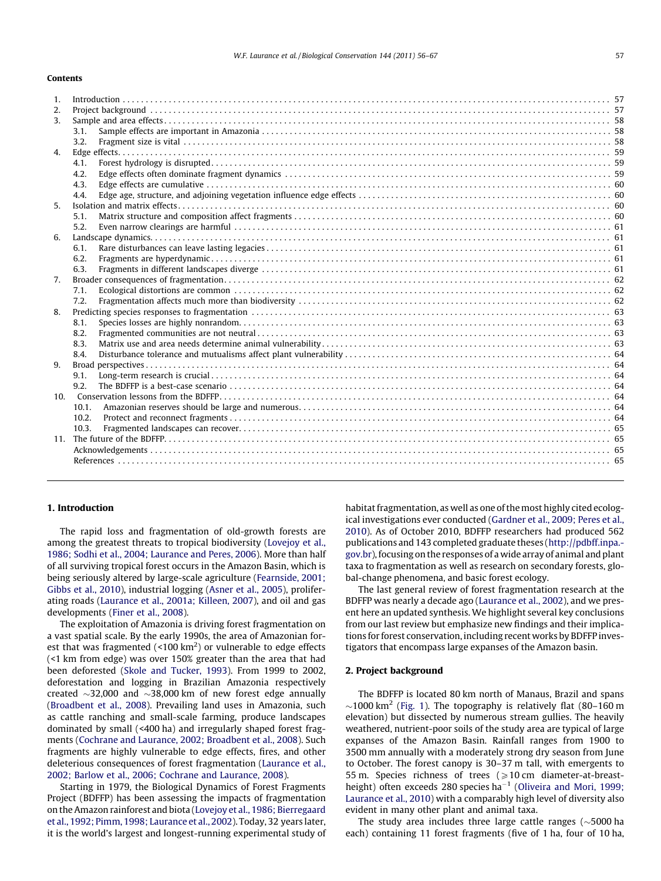#### Contents

| 1 <sub>1</sub>   |       |  |
|------------------|-------|--|
| 2.               |       |  |
| 3.               |       |  |
|                  | 3.1.  |  |
|                  | 3.2.  |  |
| $\overline{4}$ . |       |  |
|                  | 4.1.  |  |
|                  | 4.2.  |  |
|                  | 4.3.  |  |
|                  | 4.4.  |  |
| 5.               |       |  |
|                  | 5.1.  |  |
|                  | 5.2.  |  |
| 6.               |       |  |
|                  | 6.1.  |  |
|                  | 6.2.  |  |
|                  | 6.3.  |  |
| 7 <sub>1</sub>   |       |  |
|                  | 7.1.  |  |
|                  | 7.2.  |  |
| 8.               |       |  |
|                  | 8.1.  |  |
|                  | 8.2.  |  |
|                  | 8.3.  |  |
|                  | 8.4.  |  |
| 9.               |       |  |
|                  | 9.1.  |  |
|                  | 9.2.  |  |
|                  |       |  |
|                  | 10.1. |  |
|                  | 10.2. |  |
|                  | 10.3. |  |
|                  |       |  |
|                  |       |  |
|                  |       |  |
|                  |       |  |

# 1. Introduction

The rapid loss and fragmentation of old-growth forests are among the greatest threats to tropical biodiversity [\(Lovejoy et al.,](#page-11-0) [1986; Sodhi et al., 2004; Laurance and Peres, 2006\)](#page-11-0). More than half of all surviving tropical forest occurs in the Amazon Basin, which is being seriously altered by large-scale agriculture ([Fearnside, 2001;](#page-10-0) [Gibbs et al., 2010\)](#page-10-0), industrial logging ([Asner et al., 2005\)](#page-9-0), proliferating roads ([Laurance et al., 2001a; Killeen, 2007](#page-10-0)), and oil and gas developments [\(Finer et al., 2008](#page-10-0)).

The exploitation of Amazonia is driving forest fragmentation on a vast spatial scale. By the early 1990s, the area of Amazonian forest that was fragmented (<100  $\text{km}^2$ ) or vulnerable to edge effects (<1 km from edge) was over 150% greater than the area that had been deforested ([Skole and Tucker, 1993\)](#page-11-0). From 1999 to 2002, deforestation and logging in Brazilian Amazonia respectively created  $\sim$ 32,000 and  $\sim$ 38,000 km of new forest edge annually ([Broadbent et al., 2008](#page-9-0)). Prevailing land uses in Amazonia, such as cattle ranching and small-scale farming, produce landscapes dominated by small (<400 ha) and irregularly shaped forest fragments [\(Cochrane and Laurance, 2002; Broadbent et al., 2008](#page-10-0)). Such fragments are highly vulnerable to edge effects, fires, and other deleterious consequences of forest fragmentation [\(Laurance et al.,](#page-10-0) [2002; Barlow et al., 2006; Cochrane and Laurance, 2008\)](#page-10-0).

Starting in 1979, the Biological Dynamics of Forest Fragments Project (BDFFP) has been assessing the impacts of fragmentation on the Amazon rainforest and biota ([Lovejoy et al., 1986; Bierregaard](#page-11-0) [et al., 1992; Pimm, 1998; Laurance et al., 2002](#page-11-0)). Today, 32 years later, it is the world's largest and longest-running experimental study of habitat fragmentation, as well as one of the most highly cited ecological investigations ever conducted [\(Gardner et al., 2009; Peres et al.,](#page-10-0) [2010](#page-10-0)). As of October 2010, BDFFP researchers had produced 562 publications and 143 completed graduate theses [\(http://pdbff.inpa.](http://pdbff.inpa.gov.br) [gov.br\)](http://pdbff.inpa.gov.br), focusing on the responses of a wide array of animal and plant taxa to fragmentation as well as research on secondary forests, global-change phenomena, and basic forest ecology.

The last general review of forest fragmentation research at the BDFFP was nearly a decade ago ([Laurance et al., 2002\)](#page-10-0), and we present here an updated synthesis. We highlight several key conclusions from our last review but emphasize new findings and their implications for forest conservation, including recent works by BDFFP investigators that encompass large expanses of the Amazon basin.

#### 2. Project background

The BDFFP is located 80 km north of Manaus, Brazil and spans  $\sim$ 1000 km<sup>2</sup> [\(Fig. 1\)](#page-2-0). The topography is relatively flat (80–160 m elevation) but dissected by numerous stream gullies. The heavily weathered, nutrient-poor soils of the study area are typical of large expanses of the Amazon Basin. Rainfall ranges from 1900 to 3500 mm annually with a moderately strong dry season from June to October. The forest canopy is 30–37 m tall, with emergents to 55 m. Species richness of trees  $\geq 10$  cm diameter-at-breast-height) often exceeds 280 species ha<sup>-1</sup> ([Oliveira and Mori, 1999;](#page-11-0) [Laurance et al., 2010](#page-11-0)) with a comparably high level of diversity also evident in many other plant and animal taxa.

The study area includes three large cattle ranges ( $\sim$ 5000 ha each) containing 11 forest fragments (five of 1 ha, four of 10 ha,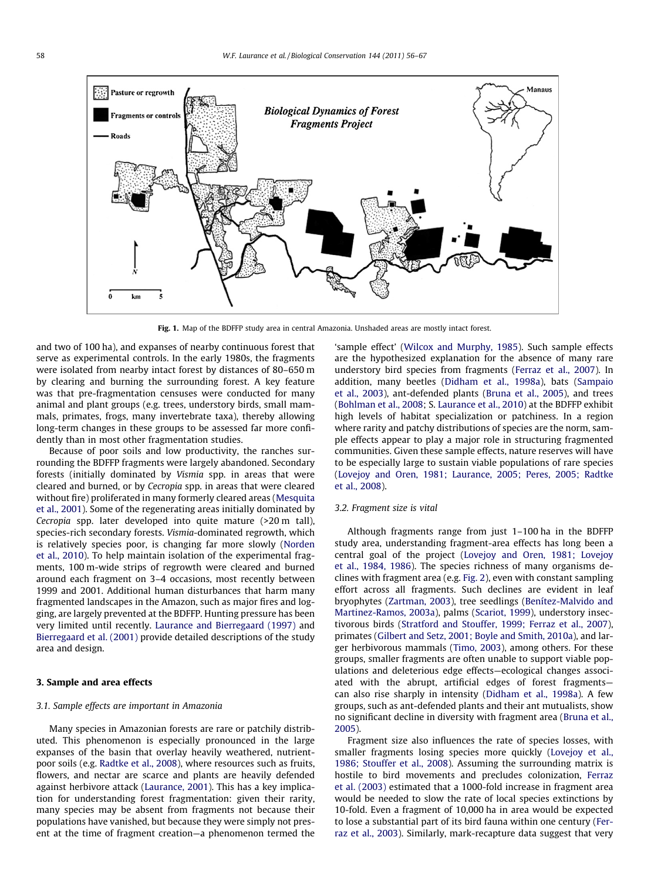<span id="page-2-0"></span>

Fig. 1. Map of the BDFFP study area in central Amazonia. Unshaded areas are mostly intact forest.

and two of 100 ha), and expanses of nearby continuous forest that serve as experimental controls. In the early 1980s, the fragments were isolated from nearby intact forest by distances of 80–650 m by clearing and burning the surrounding forest. A key feature was that pre-fragmentation censuses were conducted for many animal and plant groups (e.g. trees, understory birds, small mammals, primates, frogs, many invertebrate taxa), thereby allowing long-term changes in these groups to be assessed far more confidently than in most other fragmentation studies.

Because of poor soils and low productivity, the ranches surrounding the BDFFP fragments were largely abandoned. Secondary forests (initially dominated by Vismia spp. in areas that were cleared and burned, or by Cecropia spp. in areas that were cleared without fire) proliferated in many formerly cleared areas ([Mesquita](#page-11-0) [et al., 2001\)](#page-11-0). Some of the regenerating areas initially dominated by Cecropia spp. later developed into quite mature (>20 m tall), species-rich secondary forests. Vismia-dominated regrowth, which is relatively species poor, is changing far more slowly ([Norden](#page-11-0) [et al., 2010](#page-11-0)). To help maintain isolation of the experimental fragments, 100 m-wide strips of regrowth were cleared and burned around each fragment on 3–4 occasions, most recently between 1999 and 2001. Additional human disturbances that harm many fragmented landscapes in the Amazon, such as major fires and logging, are largely prevented at the BDFFP. Hunting pressure has been very limited until recently. [Laurance and Bierregaard \(1997\)](#page-10-0) and [Bierregaard et al. \(2001\)](#page-9-0) provide detailed descriptions of the study area and design.

# 3. Sample and area effects

### 3.1. Sample effects are important in Amazonia

Many species in Amazonian forests are rare or patchily distributed. This phenomenon is especially pronounced in the large expanses of the basin that overlay heavily weathered, nutrientpoor soils (e.g. [Radtke et al., 2008\)](#page-11-0), where resources such as fruits, flowers, and nectar are scarce and plants are heavily defended against herbivore attack [\(Laurance, 2001\)](#page-10-0). This has a key implication for understanding forest fragmentation: given their rarity, many species may be absent from fragments not because their populations have vanished, but because they were simply not present at the time of fragment creation—a phenomenon termed the 'sample effect' [\(Wilcox and Murphy, 1985\)](#page-11-0). Such sample effects are the hypothesized explanation for the absence of many rare understory bird species from fragments ([Ferraz et al., 2007](#page-10-0)). In addition, many beetles ([Didham et al., 1998a\)](#page-10-0), bats [\(Sampaio](#page-11-0) [et al., 2003\)](#page-11-0), ant-defended plants [\(Bruna et al., 2005](#page-10-0)), and trees ([Bohlman et al., 2008](#page-9-0); S. [Laurance et al., 2010\)](#page-10-0) at the BDFFP exhibit high levels of habitat specialization or patchiness. In a region where rarity and patchy distributions of species are the norm, sample effects appear to play a major role in structuring fragmented communities. Given these sample effects, nature reserves will have to be especially large to sustain viable populations of rare species ([Lovejoy and Oren, 1981; Laurance, 2005; Peres, 2005; Radtke](#page-11-0) [et al., 2008\)](#page-11-0).

## 3.2. Fragment size is vital

Although fragments range from just 1–100 ha in the BDFFP study area, understanding fragment-area effects has long been a central goal of the project [\(Lovejoy and Oren, 1981; Lovejoy](#page-11-0) [et al., 1984, 1986](#page-11-0)). The species richness of many organisms declines with fragment area (e.g. [Fig. 2](#page-3-0)), even with constant sampling effort across all fragments. Such declines are evident in leaf bryophytes [\(Zartman, 2003](#page-11-0)), tree seedlings [\(Benítez-Malvido and](#page-9-0) [Martinez-Ramos, 2003a](#page-9-0)), palms [\(Scariot, 1999](#page-11-0)), understory insectivorous birds ([Stratford and Stouffer, 1999; Ferraz et al., 2007\)](#page-11-0), primates [\(Gilbert and Setz, 2001; Boyle and Smith, 2010a](#page-10-0)), and larger herbivorous mammals ([Timo, 2003\)](#page-11-0), among others. For these groups, smaller fragments are often unable to support viable populations and deleterious edge effects—ecological changes associated with the abrupt, artificial edges of forest fragments can also rise sharply in intensity [\(Didham et al., 1998a\)](#page-10-0). A few groups, such as ant-defended plants and their ant mutualists, show no significant decline in diversity with fragment area ([Bruna et al.,](#page-10-0) [2005\)](#page-10-0).

Fragment size also influences the rate of species losses, with smaller fragments losing species more quickly [\(Lovejoy et al.,](#page-11-0) [1986; Stouffer et al., 2008\)](#page-11-0). Assuming the surrounding matrix is hostile to bird movements and precludes colonization, [Ferraz](#page-10-0) [et al. \(2003\)](#page-10-0) estimated that a 1000-fold increase in fragment area would be needed to slow the rate of local species extinctions by 10-fold. Even a fragment of 10,000 ha in area would be expected to lose a substantial part of its bird fauna within one century ([Fer](#page-10-0)[raz et al., 2003\)](#page-10-0). Similarly, mark-recapture data suggest that very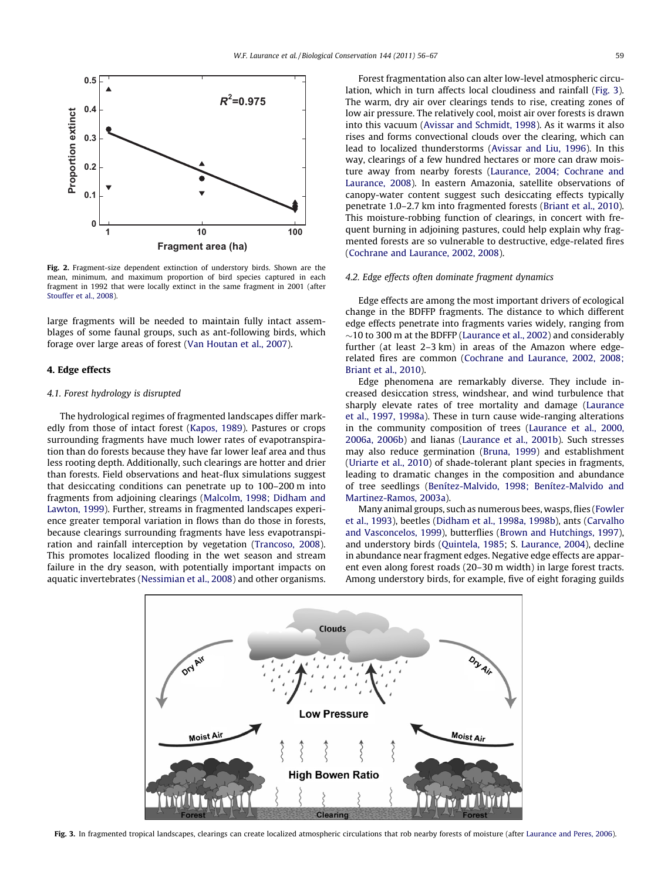<span id="page-3-0"></span>

Fig. 2. Fragment-size dependent extinction of understory birds. Shown are the mean, minimum, and maximum proportion of bird species captured in each fragment in 1992 that were locally extinct in the same fragment in 2001 (after [Stouffer et al., 2008](#page-11-0)).

large fragments will be needed to maintain fully intact assemblages of some faunal groups, such as ant-following birds, which forage over large areas of forest [\(Van Houtan et al., 2007\)](#page-11-0).

# 4. Edge effects

# 4.1. Forest hydrology is disrupted

The hydrological regimes of fragmented landscapes differ markedly from those of intact forest [\(Kapos, 1989](#page-10-0)). Pastures or crops surrounding fragments have much lower rates of evapotranspiration than do forests because they have far lower leaf area and thus less rooting depth. Additionally, such clearings are hotter and drier than forests. Field observations and heat-flux simulations suggest that desiccating conditions can penetrate up to 100–200 m into fragments from adjoining clearings ([Malcolm, 1998; Didham and](#page-11-0) [Lawton, 1999\)](#page-11-0). Further, streams in fragmented landscapes experience greater temporal variation in flows than do those in forests, because clearings surrounding fragments have less evapotranspiration and rainfall interception by vegetation ([Trancoso, 2008\)](#page-11-0). This promotes localized flooding in the wet season and stream failure in the dry season, with potentially important impacts on aquatic invertebrates [\(Nessimian et al., 2008](#page-11-0)) and other organisms.

Forest fragmentation also can alter low-level atmospheric circulation, which in turn affects local cloudiness and rainfall (Fig. 3). The warm, dry air over clearings tends to rise, creating zones of low air pressure. The relatively cool, moist air over forests is drawn into this vacuum ([Avissar and Schmidt, 1998](#page-9-0)). As it warms it also rises and forms convectional clouds over the clearing, which can lead to localized thunderstorms [\(Avissar and Liu, 1996](#page-9-0)). In this way, clearings of a few hundred hectares or more can draw moisture away from nearby forests [\(Laurance, 2004; Cochrane and](#page-10-0) [Laurance, 2008\)](#page-10-0). In eastern Amazonia, satellite observations of canopy-water content suggest such desiccating effects typically penetrate 1.0–2.7 km into fragmented forests ([Briant et al., 2010\)](#page-9-0). This moisture-robbing function of clearings, in concert with frequent burning in adjoining pastures, could help explain why fragmented forests are so vulnerable to destructive, edge-related fires ([Cochrane and Laurance, 2002, 2008\)](#page-10-0).

## 4.2. Edge effects often dominate fragment dynamics

Edge effects are among the most important drivers of ecological change in the BDFFP fragments. The distance to which different edge effects penetrate into fragments varies widely, ranging from  $\sim$ 10 to 300 m at the BDFFP ([Laurance et al., 2002\)](#page-10-0) and considerably further (at least 2–3 km) in areas of the Amazon where edgerelated fires are common ([Cochrane and Laurance, 2002, 2008;](#page-10-0) [Briant et al., 2010](#page-10-0)).

Edge phenomena are remarkably diverse. They include increased desiccation stress, windshear, and wind turbulence that sharply elevate rates of tree mortality and damage ([Laurance](#page-10-0) [et al., 1997, 1998a\)](#page-10-0). These in turn cause wide-ranging alterations in the community composition of trees ([Laurance et al., 2000,](#page-10-0) [2006a, 2006b\)](#page-10-0) and lianas ([Laurance et al., 2001b\)](#page-11-0). Such stresses may also reduce germination ([Bruna, 1999](#page-9-0)) and establishment ([Uriarte et al., 2010](#page-11-0)) of shade-tolerant plant species in fragments, leading to dramatic changes in the composition and abundance of tree seedlings [\(Benítez-Malvido, 1998; Benítez-Malvido and](#page-9-0) [Martinez-Ramos, 2003a\)](#page-9-0).

Many animal groups, such as numerous bees, wasps, flies ([Fowler](#page-10-0) [et al., 1993\)](#page-10-0), beetles [\(Didham et al., 1998a, 1998b](#page-10-0)), ants [\(Carvalho](#page-10-0) [and Vasconcelos, 1999](#page-10-0)), butterflies ([Brown and Hutchings, 1997\)](#page-9-0), and understory birds [\(Quintela, 1985;](#page-11-0) S. [Laurance, 2004\)](#page-10-0), decline in abundance near fragment edges. Negative edge effects are apparent even along forest roads (20–30 m width) in large forest tracts. Among understory birds, for example, five of eight foraging guilds



Fig. 3. In fragmented tropical landscapes, clearings can create localized atmospheric circulations that rob nearby forests of moisture (after [Laurance and Peres, 2006\)](#page-11-0).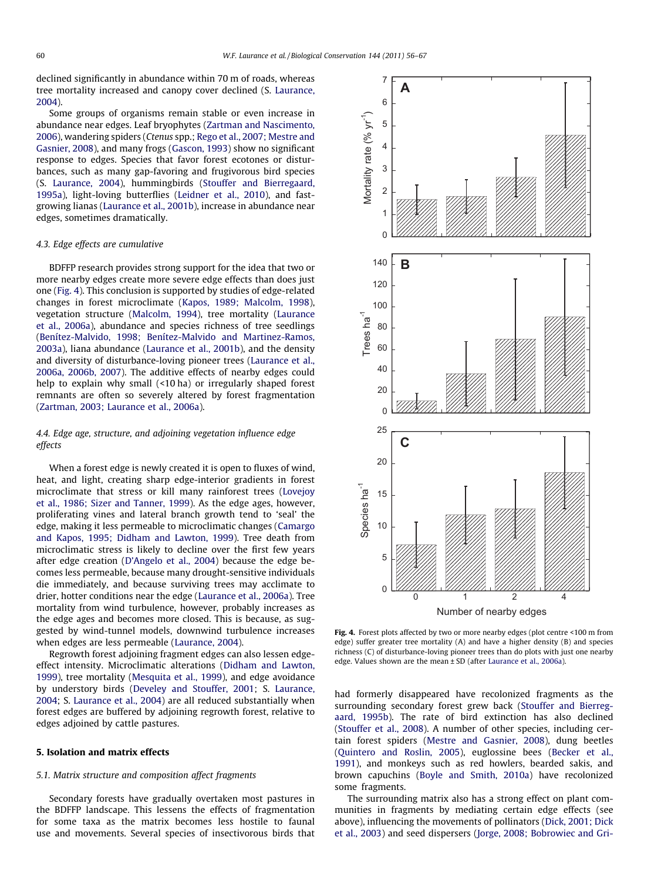declined significantly in abundance within 70 m of roads, whereas tree mortality increased and canopy cover declined (S. [Laurance,](#page-10-0) [2004\)](#page-10-0).

Some groups of organisms remain stable or even increase in abundance near edges. Leaf bryophytes [\(Zartman and Nascimento,](#page-11-0) [2006\)](#page-11-0), wandering spiders (Ctenus spp.; [Rego et al., 2007; Mestre and](#page-11-0) [Gasnier, 2008](#page-11-0)), and many frogs [\(Gascon, 1993](#page-10-0)) show no significant response to edges. Species that favor forest ecotones or disturbances, such as many gap-favoring and frugivorous bird species (S. [Laurance, 2004\)](#page-10-0), hummingbirds [\(Stouffer and Bierregaard,](#page-11-0) [1995a](#page-11-0)), light-loving butterflies [\(Leidner et al., 2010\)](#page-11-0), and fastgrowing lianas ([Laurance et al., 2001b\)](#page-11-0), increase in abundance near edges, sometimes dramatically.

# 4.3. Edge effects are cumulative

BDFFP research provides strong support for the idea that two or more nearby edges create more severe edge effects than does just one (Fig. 4). This conclusion is supported by studies of edge-related changes in forest microclimate [\(Kapos, 1989; Malcolm, 1998\)](#page-10-0), vegetation structure [\(Malcolm, 1994\)](#page-11-0), tree mortality ([Laurance](#page-10-0) [et al., 2006a](#page-10-0)), abundance and species richness of tree seedlings ([Benítez-Malvido, 1998; Benítez-Malvido and Martinez-Ramos,](#page-9-0) [2003a\)](#page-9-0), liana abundance ([Laurance et al., 2001b](#page-11-0)), and the density and diversity of disturbance-loving pioneer trees [\(Laurance et al.,](#page-10-0) [2006a, 2006b, 2007](#page-10-0)). The additive effects of nearby edges could help to explain why small (<10 ha) or irregularly shaped forest remnants are often so severely altered by forest fragmentation ([Zartman, 2003; Laurance et al., 2006a\)](#page-11-0).

# 4.4. Edge age, structure, and adjoining vegetation influence edge effects

When a forest edge is newly created it is open to fluxes of wind, heat, and light, creating sharp edge-interior gradients in forest microclimate that stress or kill many rainforest trees ([Lovejoy](#page-11-0) [et al., 1986; Sizer and Tanner, 1999\)](#page-11-0). As the edge ages, however, proliferating vines and lateral branch growth tend to 'seal' the edge, making it less permeable to microclimatic changes [\(Camargo](#page-10-0) [and Kapos, 1995; Didham and Lawton, 1999\)](#page-10-0). Tree death from microclimatic stress is likely to decline over the first few years after edge creation ([D'Angelo et al., 2004](#page-10-0)) because the edge becomes less permeable, because many drought-sensitive individuals die immediately, and because surviving trees may acclimate to drier, hotter conditions near the edge ([Laurance et al., 2006a](#page-10-0)). Tree mortality from wind turbulence, however, probably increases as the edge ages and becomes more closed. This is because, as suggested by wind-tunnel models, downwind turbulence increases when edges are less permeable [\(Laurance, 2004\)](#page-10-0).

Regrowth forest adjoining fragment edges can also lessen edgeeffect intensity. Microclimatic alterations [\(Didham and Lawton,](#page-10-0) [1999\)](#page-10-0), tree mortality ([Mesquita et al., 1999](#page-11-0)), and edge avoidance by understory birds [\(Develey and Stouffer, 2001](#page-10-0); S. [Laurance,](#page-10-0) [2004;](#page-10-0) S. [Laurance et al., 2004\)](#page-10-0) are all reduced substantially when forest edges are buffered by adjoining regrowth forest, relative to edges adjoined by cattle pastures.

# 5. Isolation and matrix effects

# 5.1. Matrix structure and composition affect fragments

Secondary forests have gradually overtaken most pastures in the BDFFP landscape. This lessens the effects of fragmentation for some taxa as the matrix becomes less hostile to faunal use and movements. Several species of insectivorous birds that



Fig. 4. Forest plots affected by two or more nearby edges (plot centre <100 m from edge) suffer greater tree mortality (A) and have a higher density (B) and species richness (C) of disturbance-loving pioneer trees than do plots with just one nearby edge. Values shown are the mean ± SD (after [Laurance et al., 2006a\)](#page-10-0).

had formerly disappeared have recolonized fragments as the surrounding secondary forest grew back ([Stouffer and Bierreg](#page-11-0)[aard, 1995b](#page-11-0)). The rate of bird extinction has also declined ([Stouffer et al., 2008\)](#page-11-0). A number of other species, including certain forest spiders ([Mestre and Gasnier, 2008\)](#page-11-0), dung beetles ([Quintero and Roslin, 2005\)](#page-11-0), euglossine bees [\(Becker et al.,](#page-9-0) [1991\)](#page-9-0), and monkeys such as red howlers, bearded sakis, and brown capuchins [\(Boyle and Smith, 2010a](#page-9-0)) have recolonized some fragments.

The surrounding matrix also has a strong effect on plant communities in fragments by mediating certain edge effects (see above), influencing the movements of pollinators [\(Dick, 2001; Dick](#page-10-0) [et al., 2003\)](#page-10-0) and seed dispersers [\(Jorge, 2008; Bobrowiec and Gri-](#page-10-0)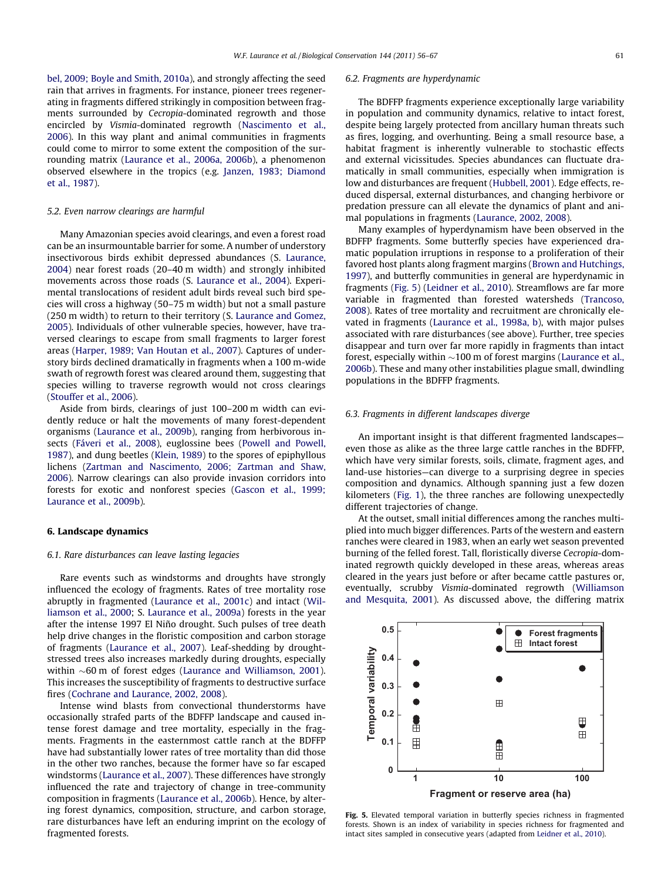[bel, 2009; Boyle and Smith, 2010a\)](#page-10-0), and strongly affecting the seed rain that arrives in fragments. For instance, pioneer trees regenerating in fragments differed strikingly in composition between fragments surrounded by Cecropia-dominated regrowth and those encircled by Vismia-dominated regrowth [\(Nascimento et al.,](#page-11-0) [2006](#page-11-0)). In this way plant and animal communities in fragments could come to mirror to some extent the composition of the surrounding matrix [\(Laurance et al., 2006a, 2006b](#page-10-0)), a phenomenon observed elsewhere in the tropics (e.g. [Janzen, 1983; Diamond](#page-10-0) [et al., 1987\)](#page-10-0).

#### 5.2. Even narrow clearings are harmful

Many Amazonian species avoid clearings, and even a forest road can be an insurmountable barrier for some. A number of understory insectivorous birds exhibit depressed abundances (S. [Laurance,](#page-10-0) [2004](#page-10-0)) near forest roads (20–40 m width) and strongly inhibited movements across those roads (S. [Laurance et al., 2004](#page-10-0)). Experimental translocations of resident adult birds reveal such bird species will cross a highway (50–75 m width) but not a small pasture (250 m width) to return to their territory (S. [Laurance and Gomez,](#page-10-0) [2005](#page-10-0)). Individuals of other vulnerable species, however, have traversed clearings to escape from small fragments to larger forest areas [\(Harper, 1989; Van Houtan et al., 2007](#page-10-0)). Captures of understory birds declined dramatically in fragments when a 100 m-wide swath of regrowth forest was cleared around them, suggesting that species willing to traverse regrowth would not cross clearings ([Stouffer et al., 2006](#page-11-0)).

Aside from birds, clearings of just 100–200 m width can evidently reduce or halt the movements of many forest-dependent organisms ([Laurance et al., 2009b\)](#page-10-0), ranging from herbivorous insects [\(Fáveri et al., 2008\)](#page-10-0), euglossine bees [\(Powell and Powell,](#page-11-0) [1987\)](#page-11-0), and dung beetles ([Klein, 1989](#page-10-0)) to the spores of epiphyllous lichens ([Zartman and Nascimento, 2006; Zartman and Shaw,](#page-11-0) [2006](#page-11-0)). Narrow clearings can also provide invasion corridors into forests for exotic and nonforest species ([Gascon et al., 1999;](#page-10-0) [Laurance et al., 2009b\)](#page-10-0).

#### 6. Landscape dynamics

### 6.1. Rare disturbances can leave lasting legacies

Rare events such as windstorms and droughts have strongly influenced the ecology of fragments. Rates of tree mortality rose abruptly in fragmented [\(Laurance et al., 2001c\)](#page-11-0) and intact ([Wil](#page-11-0)[liamson et al., 2000](#page-11-0); S. [Laurance et al., 2009a](#page-10-0)) forests in the year after the intense 1997 El Niño drought. Such pulses of tree death help drive changes in the floristic composition and carbon storage of fragments ([Laurance et al., 2007](#page-10-0)). Leaf-shedding by droughtstressed trees also increases markedly during droughts, especially within  $\sim$ 60 m of forest edges [\(Laurance and Williamson, 2001\)](#page-11-0). This increases the susceptibility of fragments to destructive surface fires ([Cochrane and Laurance, 2002, 2008\)](#page-10-0).

Intense wind blasts from convectional thunderstorms have occasionally strafed parts of the BDFFP landscape and caused intense forest damage and tree mortality, especially in the fragments. Fragments in the easternmost cattle ranch at the BDFFP have had substantially lower rates of tree mortality than did those in the other two ranches, because the former have so far escaped windstorms ([Laurance et al., 2007](#page-10-0)). These differences have strongly influenced the rate and trajectory of change in tree-community composition in fragments ([Laurance et al., 2006b\)](#page-11-0). Hence, by altering forest dynamics, composition, structure, and carbon storage, rare disturbances have left an enduring imprint on the ecology of fragmented forests.

#### 6.2. Fragments are hyperdynamic

The BDFFP fragments experience exceptionally large variability in population and community dynamics, relative to intact forest, despite being largely protected from ancillary human threats such as fires, logging, and overhunting. Being a small resource base, a habitat fragment is inherently vulnerable to stochastic effects and external vicissitudes. Species abundances can fluctuate dramatically in small communities, especially when immigration is low and disturbances are frequent [\(Hubbell, 2001\)](#page-10-0). Edge effects, reduced dispersal, external disturbances, and changing herbivore or predation pressure can all elevate the dynamics of plant and animal populations in fragments ([Laurance, 2002, 2008\)](#page-10-0).

Many examples of hyperdynamism have been observed in the BDFFP fragments. Some butterfly species have experienced dramatic population irruptions in response to a proliferation of their favored host plants along fragment margins ([Brown and Hutchings,](#page-9-0) [1997\)](#page-9-0), and butterfly communities in general are hyperdynamic in fragments (Fig. 5) ([Leidner et al., 2010\)](#page-11-0). Streamflows are far more variable in fragmented than forested watersheds ([Trancoso,](#page-11-0) [2008](#page-11-0)). Rates of tree mortality and recruitment are chronically elevated in fragments [\(Laurance et al., 1998a, b\)](#page-10-0), with major pulses associated with rare disturbances (see above). Further, tree species disappear and turn over far more rapidly in fragments than intact forest, especially within  ${\sim}100$  m of forest margins [\(Laurance et al.,](#page-11-0) [2006b](#page-11-0)). These and many other instabilities plague small, dwindling populations in the BDFFP fragments.

#### 6.3. Fragments in different landscapes diverge

An important insight is that different fragmented landscapes even those as alike as the three large cattle ranches in the BDFFP, which have very similar forests, soils, climate, fragment ages, and land-use histories—can diverge to a surprising degree in species composition and dynamics. Although spanning just a few dozen kilometers ([Fig. 1\)](#page-2-0), the three ranches are following unexpectedly different trajectories of change.

At the outset, small initial differences among the ranches multiplied into much bigger differences. Parts of the western and eastern ranches were cleared in 1983, when an early wet season prevented burning of the felled forest. Tall, floristically diverse Cecropia-dominated regrowth quickly developed in these areas, whereas areas cleared in the years just before or after became cattle pastures or, eventually, scrubby Vismia-dominated regrowth [\(Williamson](#page-11-0) [and Mesquita, 2001\)](#page-11-0). As discussed above, the differing matrix



Fig. 5. Elevated temporal variation in butterfly species richness in fragmented forests. Shown is an index of variability in species richness for fragmented and intact sites sampled in consecutive years (adapted from [Leidner et al., 2010](#page-11-0)).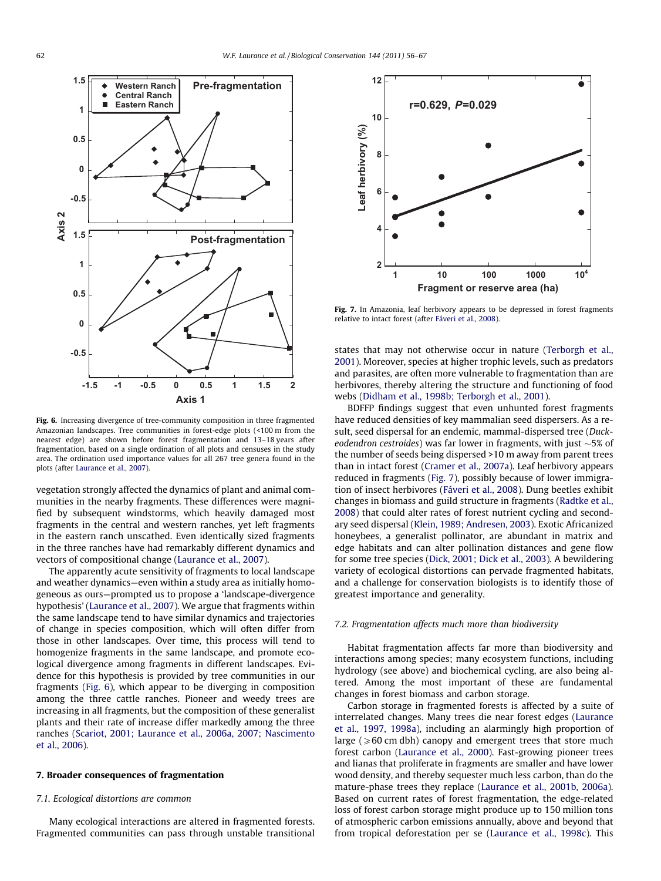

Fig. 6. Increasing divergence of tree-community composition in three fragmented Amazonian landscapes. Tree communities in forest-edge plots (<100 m from the nearest edge) are shown before forest fragmentation and 13–18 years after fragmentation, based on a single ordination of all plots and censuses in the study area. The ordination used importance values for all 267 tree genera found in the plots (after [Laurance et al., 2007](#page-10-0)).

vegetation strongly affected the dynamics of plant and animal communities in the nearby fragments. These differences were magnified by subsequent windstorms, which heavily damaged most fragments in the central and western ranches, yet left fragments in the eastern ranch unscathed. Even identically sized fragments in the three ranches have had remarkably different dynamics and vectors of compositional change ([Laurance et al., 2007\)](#page-10-0).

The apparently acute sensitivity of fragments to local landscape and weather dynamics—even within a study area as initially homogeneous as ours—prompted us to propose a 'landscape-divergence hypothesis' ([Laurance et al., 2007\)](#page-10-0). We argue that fragments within the same landscape tend to have similar dynamics and trajectories of change in species composition, which will often differ from those in other landscapes. Over time, this process will tend to homogenize fragments in the same landscape, and promote ecological divergence among fragments in different landscapes. Evidence for this hypothesis is provided by tree communities in our fragments (Fig. 6), which appear to be diverging in composition among the three cattle ranches. Pioneer and weedy trees are increasing in all fragments, but the composition of these generalist plants and their rate of increase differ markedly among the three ranches [\(Scariot, 2001; Laurance et al., 2006a, 2007; Nascimento](#page-11-0) [et al., 2006\)](#page-11-0).

# 7. Broader consequences of fragmentation

# 7.1. Ecological distortions are common

Many ecological interactions are altered in fragmented forests. Fragmented communities can pass through unstable transitional



Fig. 7. In Amazonia, leaf herbivory appears to be depressed in forest fragments relative to intact forest (after [Fáveri et al., 2008\)](#page-10-0).

states that may not otherwise occur in nature ([Terborgh et al.,](#page-11-0) [2001\)](#page-11-0). Moreover, species at higher trophic levels, such as predators and parasites, are often more vulnerable to fragmentation than are herbivores, thereby altering the structure and functioning of food webs [\(Didham et al., 1998b; Terborgh et al., 2001](#page-10-0)).

BDFFP findings suggest that even unhunted forest fragments have reduced densities of key mammalian seed dispersers. As a result, seed dispersal for an endemic, mammal-dispersed tree (Duckeodendron cestroides) was far lower in fragments, with just  $\sim$ 5% of the number of seeds being dispersed >10 m away from parent trees than in intact forest ([Cramer et al., 2007a\)](#page-10-0). Leaf herbivory appears reduced in fragments (Fig. 7), possibly because of lower immigration of insect herbivores ([Fáveri et al., 2008\)](#page-10-0). Dung beetles exhibit changes in biomass and guild structure in fragments ([Radtke et al.,](#page-11-0) [2008\)](#page-11-0) that could alter rates of forest nutrient cycling and secondary seed dispersal [\(Klein, 1989; Andresen, 2003](#page-10-0)). Exotic Africanized honeybees, a generalist pollinator, are abundant in matrix and edge habitats and can alter pollination distances and gene flow for some tree species ([Dick, 2001; Dick et al., 2003\)](#page-10-0). A bewildering variety of ecological distortions can pervade fragmented habitats, and a challenge for conservation biologists is to identify those of greatest importance and generality.

# 7.2. Fragmentation affects much more than biodiversity

Habitat fragmentation affects far more than biodiversity and interactions among species; many ecosystem functions, including hydrology (see above) and biochemical cycling, are also being altered. Among the most important of these are fundamental changes in forest biomass and carbon storage.

Carbon storage in fragmented forests is affected by a suite of interrelated changes. Many trees die near forest edges ([Laurance](#page-10-0) [et al., 1997, 1998a](#page-10-0)), including an alarmingly high proportion of large ( $\geq 60$  cm dbh) canopy and emergent trees that store much forest carbon [\(Laurance et al., 2000](#page-10-0)). Fast-growing pioneer trees and lianas that proliferate in fragments are smaller and have lower wood density, and thereby sequester much less carbon, than do the mature-phase trees they replace ([Laurance et al., 2001b, 2006a\)](#page-11-0). Based on current rates of forest fragmentation, the edge-related loss of forest carbon storage might produce up to 150 million tons of atmospheric carbon emissions annually, above and beyond that from tropical deforestation per se ([Laurance et al., 1998c](#page-10-0)). This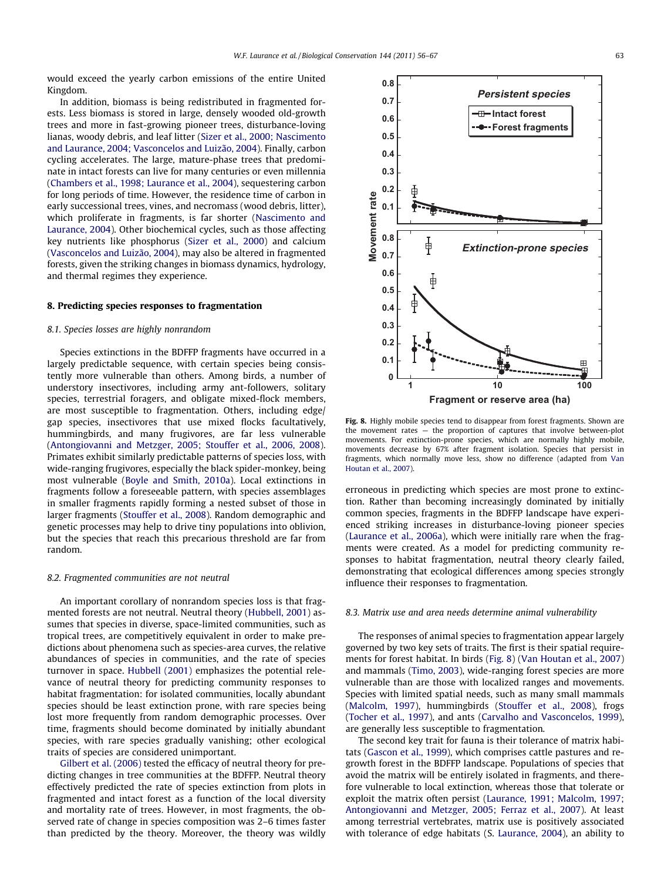would exceed the yearly carbon emissions of the entire United Kingdom.

In addition, biomass is being redistributed in fragmented forests. Less biomass is stored in large, densely wooded old-growth trees and more in fast-growing pioneer trees, disturbance-loving lianas, woody debris, and leaf litter [\(Sizer et al., 2000; Nascimento](#page-11-0) [and Laurance, 2004; Vasconcelos and Luizão, 2004\)](#page-11-0). Finally, carbon cycling accelerates. The large, mature-phase trees that predominate in intact forests can live for many centuries or even millennia ([Chambers et al., 1998; Laurance et al., 2004](#page-10-0)), sequestering carbon for long periods of time. However, the residence time of carbon in early successional trees, vines, and necromass (wood debris, litter), which proliferate in fragments, is far shorter [\(Nascimento and](#page-11-0) [Laurance, 2004\)](#page-11-0). Other biochemical cycles, such as those affecting key nutrients like phosphorus ([Sizer et al., 2000](#page-11-0)) and calcium ([Vasconcelos and Luizão, 2004](#page-11-0)), may also be altered in fragmented forests, given the striking changes in biomass dynamics, hydrology, and thermal regimes they experience.

# 8. Predicting species responses to fragmentation

# 8.1. Species losses are highly nonrandom

Species extinctions in the BDFFP fragments have occurred in a largely predictable sequence, with certain species being consistently more vulnerable than others. Among birds, a number of understory insectivores, including army ant-followers, solitary species, terrestrial foragers, and obligate mixed-flock members, are most susceptible to fragmentation. Others, including edge/ gap species, insectivores that use mixed flocks facultatively, hummingbirds, and many frugivores, are far less vulnerable ([Antongiovanni and Metzger, 2005; Stouffer et al., 2006, 2008\)](#page-9-0). Primates exhibit similarly predictable patterns of species loss, with wide-ranging frugivores, especially the black spider-monkey, being most vulnerable ([Boyle and Smith, 2010a\)](#page-9-0). Local extinctions in fragments follow a foreseeable pattern, with species assemblages in smaller fragments rapidly forming a nested subset of those in larger fragments [\(Stouffer et al., 2008\)](#page-11-0). Random demographic and genetic processes may help to drive tiny populations into oblivion, but the species that reach this precarious threshold are far from random.

# 8.2. Fragmented communities are not neutral

An important corollary of nonrandom species loss is that fragmented forests are not neutral. Neutral theory ([Hubbell, 2001\)](#page-10-0) assumes that species in diverse, space-limited communities, such as tropical trees, are competitively equivalent in order to make predictions about phenomena such as species-area curves, the relative abundances of species in communities, and the rate of species turnover in space. [Hubbell \(2001\)](#page-10-0) emphasizes the potential relevance of neutral theory for predicting community responses to habitat fragmentation: for isolated communities, locally abundant species should be least extinction prone, with rare species being lost more frequently from random demographic processes. Over time, fragments should become dominated by initially abundant species, with rare species gradually vanishing; other ecological traits of species are considered unimportant.

[Gilbert et al. \(2006\)](#page-10-0) tested the efficacy of neutral theory for predicting changes in tree communities at the BDFFP. Neutral theory effectively predicted the rate of species extinction from plots in fragmented and intact forest as a function of the local diversity and mortality rate of trees. However, in most fragments, the observed rate of change in species composition was 2–6 times faster than predicted by the theory. Moreover, the theory was wildly



Fig. 8. Highly mobile species tend to disappear from forest fragments. Shown are the movement rates — the proportion of captures that involve between-plot movements. For extinction-prone species, which are normally highly mobile, movements decrease by 67% after fragment isolation. Species that persist in fragments, which normally move less, show no difference (adapted from [Van](#page-11-0) [Houtan et al., 2007\)](#page-11-0).

erroneous in predicting which species are most prone to extinction. Rather than becoming increasingly dominated by initially common species, fragments in the BDFFP landscape have experienced striking increases in disturbance-loving pioneer species ([Laurance et al., 2006a\)](#page-10-0), which were initially rare when the fragments were created. As a model for predicting community responses to habitat fragmentation, neutral theory clearly failed, demonstrating that ecological differences among species strongly influence their responses to fragmentation.

# 8.3. Matrix use and area needs determine animal vulnerability

The responses of animal species to fragmentation appear largely governed by two key sets of traits. The first is their spatial requirements for forest habitat. In birds (Fig. 8) ([Van Houtan et al., 2007\)](#page-11-0) and mammals [\(Timo, 2003\)](#page-11-0), wide-ranging forest species are more vulnerable than are those with localized ranges and movements. Species with limited spatial needs, such as many small mammals ([Malcolm, 1997](#page-11-0)), hummingbirds [\(Stouffer et al., 2008](#page-11-0)), frogs ([Tocher et al., 1997\)](#page-11-0), and ants [\(Carvalho and Vasconcelos, 1999\)](#page-10-0), are generally less susceptible to fragmentation.

The second key trait for fauna is their tolerance of matrix habitats [\(Gascon et al., 1999\)](#page-10-0), which comprises cattle pastures and regrowth forest in the BDFFP landscape. Populations of species that avoid the matrix will be entirely isolated in fragments, and therefore vulnerable to local extinction, whereas those that tolerate or exploit the matrix often persist ([Laurance, 1991; Malcolm, 1997;](#page-10-0) [Antongiovanni and Metzger, 2005; Ferraz et al., 2007\)](#page-10-0). At least among terrestrial vertebrates, matrix use is positively associated with tolerance of edge habitats (S. [Laurance, 2004\)](#page-10-0), an ability to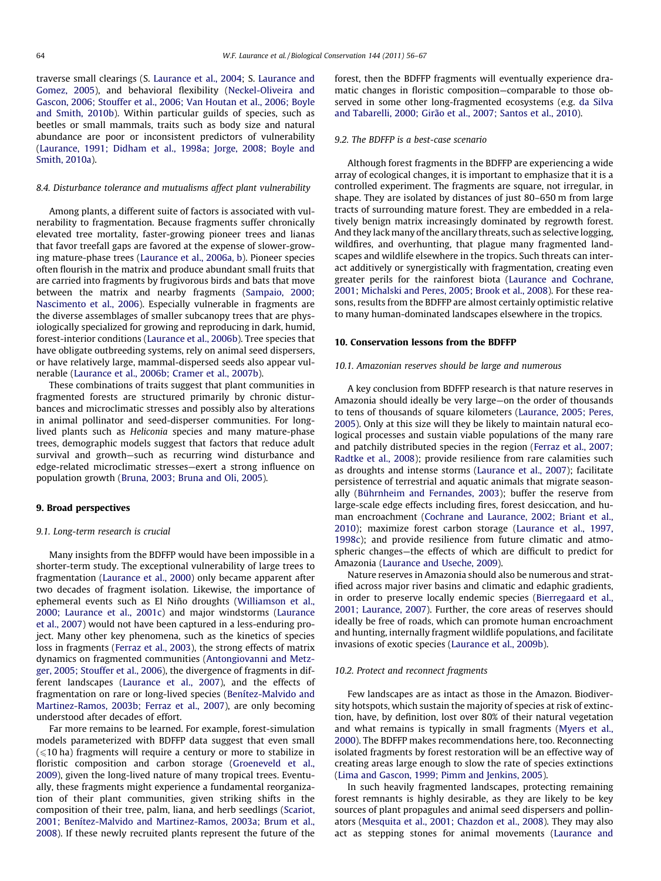traverse small clearings (S. [Laurance et al., 2004;](#page-10-0) S. [Laurance and](#page-10-0) [Gomez, 2005](#page-10-0)), and behavioral flexibility ([Neckel-Oliveira and](#page-11-0) [Gascon, 2006; Stouffer et al., 2006; Van Houtan et al., 2006; Boyle](#page-11-0) [and Smith, 2010b\)](#page-11-0). Within particular guilds of species, such as beetles or small mammals, traits such as body size and natural abundance are poor or inconsistent predictors of vulnerability ([Laurance, 1991; Didham et al., 1998a; Jorge, 2008; Boyle and](#page-10-0) [Smith, 2010a](#page-10-0)).

# 8.4. Disturbance tolerance and mutualisms affect plant vulnerability

Among plants, a different suite of factors is associated with vulnerability to fragmentation. Because fragments suffer chronically elevated tree mortality, faster-growing pioneer trees and lianas that favor treefall gaps are favored at the expense of slower-growing mature-phase trees [\(Laurance et al., 2006a, b](#page-10-0)). Pioneer species often flourish in the matrix and produce abundant small fruits that are carried into fragments by frugivorous birds and bats that move between the matrix and nearby fragments ([Sampaio, 2000;](#page-11-0) [Nascimento et al., 2006](#page-11-0)). Especially vulnerable in fragments are the diverse assemblages of smaller subcanopy trees that are physiologically specialized for growing and reproducing in dark, humid, forest-interior conditions ([Laurance et al., 2006b](#page-11-0)). Tree species that have obligate outbreeding systems, rely on animal seed dispersers, or have relatively large, mammal-dispersed seeds also appear vulnerable ([Laurance et al., 2006b; Cramer et al., 2007b\)](#page-11-0).

These combinations of traits suggest that plant communities in fragmented forests are structured primarily by chronic disturbances and microclimatic stresses and possibly also by alterations in animal pollinator and seed-disperser communities. For longlived plants such as Heliconia species and many mature-phase trees, demographic models suggest that factors that reduce adult survival and growth—such as recurring wind disturbance and edge-related microclimatic stresses—exert a strong influence on population growth [\(Bruna, 2003; Bruna and Oli, 2005\)](#page-9-0).

## 9. Broad perspectives

# 9.1. Long-term research is crucial

Many insights from the BDFFP would have been impossible in a shorter-term study. The exceptional vulnerability of large trees to fragmentation ([Laurance et al., 2000](#page-10-0)) only became apparent after two decades of fragment isolation. Likewise, the importance of ephemeral events such as El Niño droughts [\(Williamson et al.,](#page-11-0) [2000; Laurance et al., 2001c\)](#page-11-0) and major windstorms ([Laurance](#page-10-0) [et al., 2007](#page-10-0)) would not have been captured in a less-enduring project. Many other key phenomena, such as the kinetics of species loss in fragments ([Ferraz et al., 2003](#page-10-0)), the strong effects of matrix dynamics on fragmented communities [\(Antongiovanni and Metz](#page-9-0)[ger, 2005; Stouffer et al., 2006](#page-9-0)), the divergence of fragments in different landscapes ([Laurance et al., 2007](#page-10-0)), and the effects of fragmentation on rare or long-lived species ([Benítez-Malvido and](#page-9-0) [Martinez-Ramos, 2003b; Ferraz et al., 2007](#page-9-0)), are only becoming understood after decades of effort.

Far more remains to be learned. For example, forest-simulation models parameterized with BDFFP data suggest that even small  $\leq$  10 ha) fragments will require a century or more to stabilize in floristic composition and carbon storage [\(Groeneveld et al.,](#page-10-0) [2009\)](#page-10-0), given the long-lived nature of many tropical trees. Eventually, these fragments might experience a fundamental reorganization of their plant communities, given striking shifts in the composition of their tree, palm, liana, and herb seedlings [\(Scariot,](#page-11-0) [2001; Benítez-Malvido and Martinez-Ramos, 2003a; Brum et al.,](#page-11-0) [2008\)](#page-11-0). If these newly recruited plants represent the future of the forest, then the BDFFP fragments will eventually experience dramatic changes in floristic composition—comparable to those observed in some other long-fragmented ecosystems (e.g. [da Silva](#page-10-0) [and Tabarelli, 2000; Girão et al., 2007; Santos et al., 2010](#page-10-0)).

#### 9.2. The BDFFP is a best-case scenario

Although forest fragments in the BDFFP are experiencing a wide array of ecological changes, it is important to emphasize that it is a controlled experiment. The fragments are square, not irregular, in shape. They are isolated by distances of just 80–650 m from large tracts of surrounding mature forest. They are embedded in a relatively benign matrix increasingly dominated by regrowth forest. And they lack many of the ancillary threats, such as selective logging, wildfires, and overhunting, that plague many fragmented landscapes and wildlife elsewhere in the tropics. Such threats can interact additively or synergistically with fragmentation, creating even greater perils for the rainforest biota ([Laurance and Cochrane,](#page-10-0) [2001;](#page-10-0) [Michalski and Peres, 2005; Brook et al., 2008\)](#page-11-0). For these reasons, results from the BDFFP are almost certainly optimistic relative to many human-dominated landscapes elsewhere in the tropics.

# 10. Conservation lessons from the BDFFP

## 10.1. Amazonian reserves should be large and numerous

A key conclusion from BDFFP research is that nature reserves in Amazonia should ideally be very large—on the order of thousands to tens of thousands of square kilometers [\(Laurance, 2005; Peres,](#page-10-0) [2005\)](#page-10-0). Only at this size will they be likely to maintain natural ecological processes and sustain viable populations of the many rare and patchily distributed species in the region [\(Ferraz et al., 2007;](#page-10-0) [Radtke et al., 2008\)](#page-10-0); provide resilience from rare calamities such as droughts and intense storms [\(Laurance et al., 2007\)](#page-10-0); facilitate persistence of terrestrial and aquatic animals that migrate seasonally [\(Bührnheim and Fernandes, 2003](#page-10-0)); buffer the reserve from large-scale edge effects including fires, forest desiccation, and human encroachment ([Cochrane and Laurance, 2002; Briant et al.,](#page-10-0) [2010\)](#page-10-0); maximize forest carbon storage ([Laurance et al., 1997,](#page-10-0) [1998c\)](#page-10-0); and provide resilience from future climatic and atmospheric changes—the effects of which are difficult to predict for Amazonia ([Laurance and Useche, 2009\)](#page-11-0).

Nature reserves in Amazonia should also be numerous and stratified across major river basins and climatic and edaphic gradients, in order to preserve locally endemic species [\(Bierregaard et al.,](#page-9-0) [2001; Laurance, 2007](#page-9-0)). Further, the core areas of reserves should ideally be free of roads, which can promote human encroachment and hunting, internally fragment wildlife populations, and facilitate invasions of exotic species ([Laurance et al., 2009b\)](#page-10-0).

## 10.2. Protect and reconnect fragments

Few landscapes are as intact as those in the Amazon. Biodiversity hotspots, which sustain the majority of species at risk of extinction, have, by definition, lost over 80% of their natural vegetation and what remains is typically in small fragments ([Myers et al.,](#page-11-0) [2000](#page-11-0)). The BDFFP makes recommendations here, too. Reconnecting isolated fragments by forest restoration will be an effective way of creating areas large enough to slow the rate of species extinctions ([Lima and Gascon, 1999; Pimm and Jenkins, 2005](#page-11-0)).

In such heavily fragmented landscapes, protecting remaining forest remnants is highly desirable, as they are likely to be key sources of plant propagules and animal seed dispersers and pollinators [\(Mesquita et al., 2001; Chazdon et al., 2008\)](#page-11-0). They may also act as stepping stones for animal movements [\(Laurance and](#page-10-0)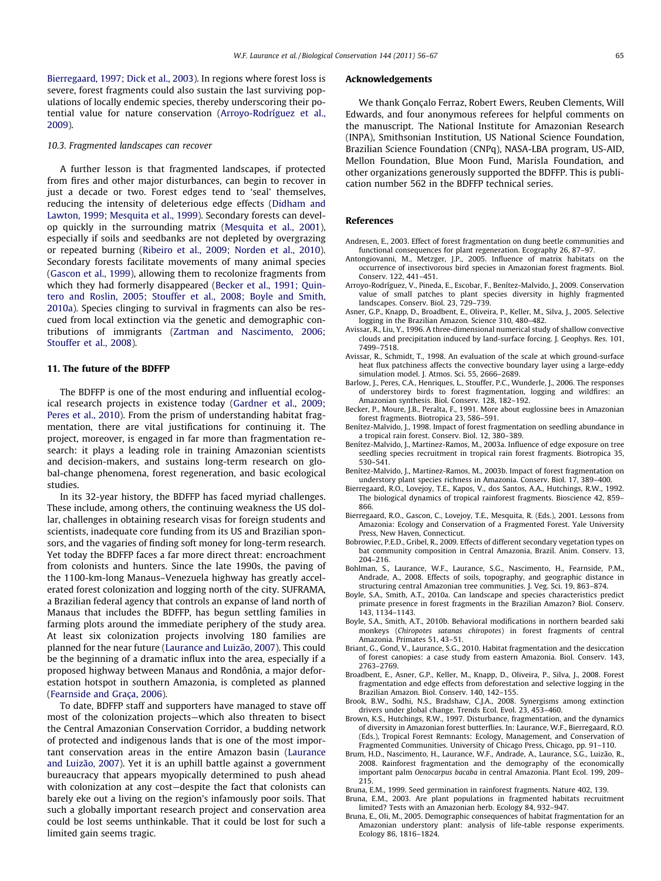<span id="page-9-0"></span>[Bierregaard, 1997; Dick et al., 2003\)](#page-10-0). In regions where forest loss is severe, forest fragments could also sustain the last surviving populations of locally endemic species, thereby underscoring their potential value for nature conservation (Arroyo-Rodríguez et al., 2009).

#### 10.3. Fragmented landscapes can recover

A further lesson is that fragmented landscapes, if protected from fires and other major disturbances, can begin to recover in just a decade or two. Forest edges tend to 'seal' themselves, reducing the intensity of deleterious edge effects [\(Didham and](#page-10-0) [Lawton, 1999; Mesquita et al., 1999](#page-10-0)). Secondary forests can develop quickly in the surrounding matrix ([Mesquita et al., 2001\)](#page-11-0), especially if soils and seedbanks are not depleted by overgrazing or repeated burning ([Ribeiro et al., 2009; Norden et al., 2010\)](#page-11-0). Secondary forests facilitate movements of many animal species ([Gascon et al., 1999\)](#page-10-0), allowing them to recolonize fragments from which they had formerly disappeared (Becker et al., 1991; Quintero and Roslin, 2005; Stouffer et al., 2008; Boyle and Smith, 2010a). Species clinging to survival in fragments can also be rescued from local extinction via the genetic and demographic contributions of immigrants ([Zartman and Nascimento, 2006;](#page-11-0) [Stouffer et al., 2008\)](#page-11-0).

# 11. The future of the BDFFP

The BDFFP is one of the most enduring and influential ecological research projects in existence today [\(Gardner et al., 2009;](#page-10-0) [Peres et al., 2010\)](#page-10-0). From the prism of understanding habitat fragmentation, there are vital justifications for continuing it. The project, moreover, is engaged in far more than fragmentation research: it plays a leading role in training Amazonian scientists and decision-makers, and sustains long-term research on global-change phenomena, forest regeneration, and basic ecological studies.

In its 32-year history, the BDFFP has faced myriad challenges. These include, among others, the continuing weakness the US dollar, challenges in obtaining research visas for foreign students and scientists, inadequate core funding from its US and Brazilian sponsors, and the vagaries of finding soft money for long-term research. Yet today the BDFFP faces a far more direct threat: encroachment from colonists and hunters. Since the late 1990s, the paving of the 1100-km-long Manaus–Venezuela highway has greatly accelerated forest colonization and logging north of the city. SUFRAMA, a Brazilian federal agency that controls an expanse of land north of Manaus that includes the BDFFP, has begun settling families in farming plots around the immediate periphery of the study area. At least six colonization projects involving 180 families are planned for the near future [\(Laurance and Luizão, 2007](#page-10-0)). This could be the beginning of a dramatic influx into the area, especially if a proposed highway between Manaus and Rondônia, a major deforestation hotspot in southern Amazonia, is completed as planned ([Fearnside and Graça, 2006](#page-10-0)).

To date, BDFFP staff and supporters have managed to stave off most of the colonization projects—which also threaten to bisect the Central Amazonian Conservation Corridor, a budding network of protected and indigenous lands that is one of the most important conservation areas in the entire Amazon basin ([Laurance](#page-10-0) [and Luizão, 2007\)](#page-10-0). Yet it is an uphill battle against a government bureaucracy that appears myopically determined to push ahead with colonization at any cost—despite the fact that colonists can barely eke out a living on the region's infamously poor soils. That such a globally important research project and conservation area could be lost seems unthinkable. That it could be lost for such a limited gain seems tragic.

## Acknowledgements

We thank Gonçalo Ferraz, Robert Ewers, Reuben Clements, Will Edwards, and four anonymous referees for helpful comments on the manuscript. The National Institute for Amazonian Research (INPA), Smithsonian Institution, US National Science Foundation, Brazilian Science Foundation (CNPq), NASA-LBA program, US-AID, Mellon Foundation, Blue Moon Fund, Marisla Foundation, and other organizations generously supported the BDFFP. This is publication number 562 in the BDFFP technical series.

# References

Andresen, E., 2003. Effect of forest fragmentation on dung beetle communities and functional consequences for plant regeneration. Ecography 26, 87–97.

- Antongiovanni, M., Metzger, J.P., 2005. Influence of matrix habitats on the occurrence of insectivorous bird species in Amazonian forest fragments. Biol. Conserv. 122, 441–451.
- Arroyo-Rodríguez, V., Pineda, E., Escobar, F., Benítez-Malvido, J., 2009. Conservation value of small patches to plant species diversity in highly fragmented landscapes. Conserv. Biol. 23, 729–739.
- Asner, G.P., Knapp, D., Broadbent, E., Oliveira, P., Keller, M., Silva, J., 2005. Selective logging in the Brazilian Amazon. Science 310, 480–482.
- Avissar, R., Liu, Y., 1996. A three-dimensional numerical study of shallow convective clouds and precipitation induced by land-surface forcing. J. Geophys. Res. 101, 7499–7518.
- Avissar, R., Schmidt, T., 1998. An evaluation of the scale at which ground-surface heat flux patchiness affects the convective boundary layer using a large-eddy simulation model. J. Atmos. Sci. 55, 2666–2689.
- Barlow, J., Peres, C.A., Henriques, L., Stouffer, P.C., Wunderle, J., 2006. The responses of understorey birds to forest fragmentation, logging and wildfires: an Amazonian synthesis. Biol. Conserv. 128, 182–192.
- Becker, P., Moure, J.B., Peralta, F., 1991. More about euglossine bees in Amazonian forest fragments. Biotropica 23, 586–591.
- Benítez-Malvido, J., 1998. Impact of forest fragmentation on seedling abundance in a tropical rain forest. Conserv. Biol. 12, 380–389.
- Benítez-Malvido, J., Martinez-Ramos, M., 2003a. Influence of edge exposure on tree seedling species recruitment in tropical rain forest fragments. Biotropica 35, 530–541.
- Benítez-Malvido, J., Martinez-Ramos, M., 2003b. Impact of forest fragmentation on understory plant species richness in Amazonia. Conserv. Biol. 17, 389–400.
- Bierregaard, R.O., Lovejoy, T.E., Kapos, V., dos Santos, A.A., Hutchings, R.W., 1992. The biological dynamics of tropical rainforest fragments. Bioscience 42, 859– 866.
- Bierregaard, R.O., Gascon, C., Lovejoy, T.E., Mesquita, R. (Eds.), 2001. Lessons from Amazonia: Ecology and Conservation of a Fragmented Forest. Yale University Press, New Haven, Connecticut.
- Bobrowiec, P.E.D., Gribel, R., 2009. Effects of different secondary vegetation types on bat community composition in Central Amazonia, Brazil. Anim. Conserv. 13, 204–216.
- Bohlman, S., Laurance, W.F., Laurance, S.G., Nascimento, H., Fearnside, P.M., Andrade, A., 2008. Effects of soils, topography, and geographic distance in structuring central Amazonian tree communities. J. Veg. Sci. 19, 863–874.
- Boyle, S.A., Smith, A.T., 2010a. Can landscape and species characteristics predict primate presence in forest fragments in the Brazilian Amazon? Biol. Conserv. 143, 1134–1143.
- Boyle, S.A., Smith, A.T., 2010b. Behavioral modifications in northern bearded saki monkeys (Chiropotes satanas chiropotes) in forest fragments of central Amazonia. Primates 51, 43–51.
- Briant, G., Gond, V., Laurance, S.G., 2010. Habitat fragmentation and the desiccation of forest canopies: a case study from eastern Amazonia. Biol. Conserv. 143, 2763–2769.
- Broadbent, E., Asner, G.P., Keller, M., Knapp, D., Oliveira, P., Silva, J., 2008. Forest fragmentation and edge effects from deforestation and selective logging in the Brazilian Amazon. Biol. Conserv. 140, 142–155.
- Brook, B.W., Sodhi, N.S., Bradshaw, C.J.A., 2008. Synergisms among extinction drivers under global change. Trends Ecol. Evol. 23, 453–460.
- Brown, K.S., Hutchings, R.W., 1997. Disturbance, fragmentation, and the dynamics of diversity in Amazonian forest butterflies. In: Laurance, W.F., Bierregaard, R.O. (Eds.), Tropical Forest Remnants: Ecology, Management, and Conservation of Fragmented Communities. University of Chicago Press, Chicago, pp. 91–110.
- Brum, H.D., Nascimento, H., Laurance, W.F., Andrade, A., Laurance, S.G., Luizão, R., 2008. Rainforest fragmentation and the demography of the economically important palm Oenocarpus bacaba in central Amazonia. Plant Ecol. 199, 209– 215.
- Bruna, E.M., 1999. Seed germination in rainforest fragments. Nature 402, 139.
- Bruna, E.M., 2003. Are plant populations in fragmented habitats recruitment limited? Tests with an Amazonian herb. Ecology 84, 932–947.
- Bruna, E., Oli, M., 2005. Demographic consequences of habitat fragmentation for an Amazonian understory plant: analysis of life-table response experiments. Ecology 86, 1816–1824.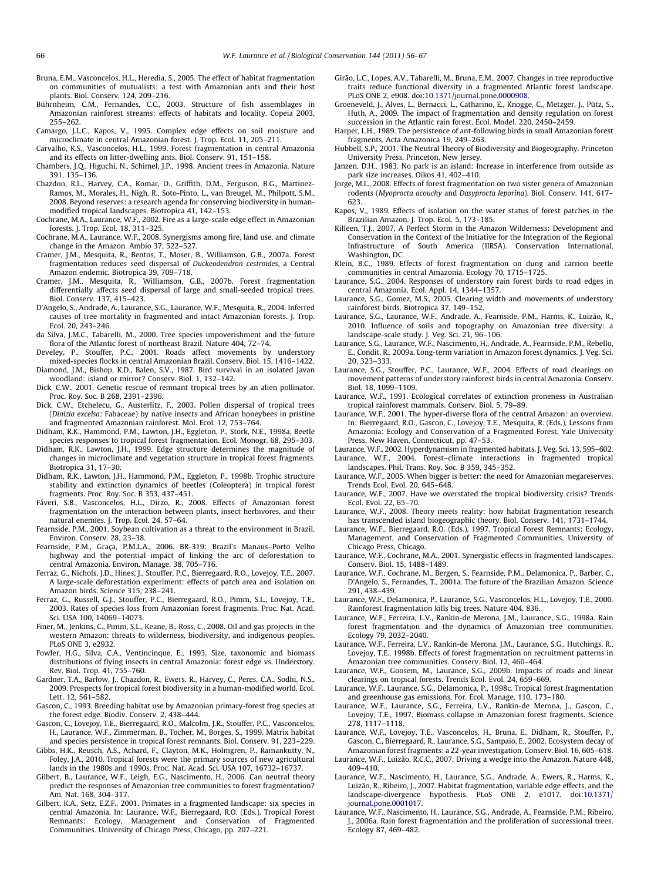- <span id="page-10-0"></span>Bruna, E.M., Vasconcelos, H.L., Heredia, S., 2005. The effect of habitat fragmentation on communities of mutualists: a test with Amazonian ants and their host plants. Biol. Conserv. 124, 209–216.
- Bührnheim, C.M., Fernandes, C.C., 2003. Structure of fish assemblages in Amazonian rainforest streams: effects of habitats and locality. Copeia 2003, 255–262.
- Camargo, J.L.C., Kapos, V., 1995. Complex edge effects on soil moisture and microclimate in central Amazonian forest. J. Trop. Ecol. 11, 205–211.
- Carvalho, K.S., Vasconcelos, H.L., 1999. Forest fragmentation in central Amazonia and its effects on litter-dwelling ants. Biol. Conserv. 91, 151–158.
- Chambers, J.Q., Higuchi, N., Schimel, J.P., 1998. Ancient trees in Amazonia. Nature 391, 135–136.
- Chazdon, R.L., Harvey, C.A., Komar, O., Griffith, D.M., Ferguson, B.G., Martinez-Ramos, M., Morales, H., Nigh, R., Soto-Pinto, L., van Breugel, M., Philpott, S.M., 2008. Beyond reserves: a research agenda for conserving biodiversity in humanmodified tropical landscapes. Biotropica 41, 142–153.
- Cochrane, M.A., Laurance, W.F., 2002. Fire as a large-scale edge effect in Amazonian forests. J. Trop. Ecol. 18, 311–325.
- Cochrane, M.A., Laurance, W.F., 2008. Synergisms among fire, land use, and climate change in the Amazon. Ambio 37, 522–527.
- Cramer, J.M., Mesquita, R., Bentos, T., Moser, B., Williamson, G.B., 2007a. Forest fragmentation reduces seed dispersal of Duckeodendron cestroides, a Central Amazon endemic. Biotropica 39, 709–718.
- Cramer, J.M., Mesquita, R., Williamson, G.B., 2007b. Forest fragmentation differentially affects seed dispersal of large and small-seeded tropical trees. Biol. Conserv. 137, 415–423.
- D'Angelo, S., Andrade, A., Laurance, S.G., Laurance, W.F., Mesquita, R., 2004. Inferred causes of tree mortality in fragmented and intact Amazonian forests. J. Trop. Ecol. 20, 243–246.
- da Silva, J.M.C., Tabarelli, M., 2000. Tree species impoverishment and the future flora of the Atlantic forest of northeast Brazil. Nature 404, 72–74.
- Develey, P., Stouffer, P.C., 2001. Roads affect movements by understory mixed-species flocks in central Amazonian Brazil. Conserv. Biol. 15, 1416–1422. Diamond, J.M., Bishop, K.D., Balen, S.V., 1987. Bird survival in an isolated Javan
- woodland: island or mirror? Conserv. Biol. 1, 132–142. Dick, C.W., 2001. Genetic rescue of remnant tropical trees by an alien pollinator.
- Proc. Roy. Soc. B 268, 2391–2396.
- Dick, C.W., Etchelecu, G., Austerlitz, F., 2003. Pollen dispersal of tropical trees (Dinizia excelsa: Fabaceae) by native insects and African honeybees in pristine and fragmented Amazonian rainforest. Mol. Ecol. 12, 753–764.
- Didham, R.K., Hammond, P.M., Lawton, J.H., Eggleton, P., Stork, N.E., 1998a. Beetle species responses to tropical forest fragmentation. Ecol. Monogr. 68, 295–303.
- Didham, R.K., Lawton, J.H., 1999. Edge structure determines the magnitude of changes in microclimate and vegetation structure in tropical forest fragments. Biotropica 31, 17–30.
- Didham, R.K., Lawton, J.H., Hammond, P.M., Eggleton, P., 1998b. Trophic structure stability and extinction dynamics of beetles (Coleoptera) in tropical forest fragments. Proc. Roy. Soc. B 353, 437–451.
- Fáveri, S.B., Vasconcelos, H.L., Dirzo, R., 2008. Effects of Amazonian forest fragmentation on the interaction between plants, insect herbivores, and their natural enemies. J. Trop. Ecol. 24, 57–64.
- Fearnside, P.M., 2001. Soybean cultivation as a threat to the environment in Brazil. Environ. Conserv. 28, 23–38.
- Fearnside, P.M., Graça, P.M.L.A., 2006. BR-319: Brazil's Manaus–Porto Velho highway and the potential impact of linking the arc of deforestation to central Amazonia. Environ. Manage. 38, 705–716.
- Ferraz, G., Nichols, J.D., Hines, J., Stouffer, P.C., Bierregaard, R.O., Lovejoy, T.E., 2007. A large-scale deforestation experiment: effects of patch area and isolation on Amazon birds. Science 315, 238–241.
- Ferraz, G., Russell, G.J., Stouffer, P.C., Bierregaard, R.O., Pimm, S.L., Lovejoy, T.E., 2003. Rates of species loss from Amazonian forest fragments. Proc. Nat. Acad. Sci. USA 100, 14069–14073.
- Finer, M., Jenkins, C., Pimm, S.L., Keane, B., Ross, C., 2008. Oil and gas projects in the western Amazon: threats to wilderness, biodiversity, and indigenous peoples. PLoS ONE 3, e2932.
- Fowler, H.G., Silva, C.A., Ventincinque, E., 1993. Size, taxonomic and biomass distributions of flying insects in central Amazonia: forest edge vs. Understory. Rev. Biol. Trop. 41, 755–760.
- Gardner, T.A., Barlow, J., Chazdon, R., Ewers, R., Harvey, C., Peres, C.A., Sodhi, N.S., 2009. Prospects for tropical forest biodiversity in a human-modified world. Ecol. Lett. 12, 561–582.
- Gascon, C., 1993. Breeding habitat use by Amazonian primary-forest frog species at the forest edge. Biodiv. Conserv. 2, 438–444.
- Gascon, C., Lovejoy, T.E., Bierregaard, R.O., Malcolm, J.R., Stouffer, P.C., Vasconcelos, H., Laurance, W.F., Zimmerman, B., Tocher, M., Borges, S., 1999. Matrix habitat and species persistence in tropical forest remnants. Biol. Conserv. 91, 223–229.
- Gibbs, H.K., Reusch, A.S., Achard, F., Clayton, M.K., Holmgren, P., Ramankutty, N., Foley, J.A., 2010. Tropical forests were the primary sources of new agricultural lands in the 1980s and 1990s. Proc. Nat. Acad. Sci. USA 107, 16732–16737.
- Gilbert, B., Laurance, W.F., Leigh, E.G., Nascimento, H., 2006. Can neutral theory predict the responses of Amazonian tree communities to forest fragmentation? Am. Nat. 168, 304–317.
- Gilbert, K.A., Setz, E.Z.F., 2001. Primates in a fragmented landscape: six species in central Amazonia. In: Laurance, W.F., Bierregaard, R.O. (Eds.), Tropical Forest Remnants: Ecology, Management and Conservation of Fragmented Communities. University of Chicago Press, Chicago, pp. 207–221.
- Girão, L.C., Lopes, A.V., Tabarelli, M., Bruna, E.M., 2007. Changes in tree reproductive traits reduce functional diversity in a fragmented Atlantic forest landscape. PLoS ONE 2, e908. doi:[10.1371/journal.pone.0000908.](http://dx.doi.org/10.1371/journal.pone.0000908)
- Groeneveld, J., Alves, L., Bernacci, L., Catharino, E., Knogge, C., Metzger, J., Pütz, S., Huth, A., 2009. The impact of fragmentation and density regulation on forest succession in the Atlantic rain forest. Ecol. Model. 220, 2450–2459.
- Harper, L.H., 1989. The persistence of ant-following birds in small Amazonian forest fragments. Acta Amazonica 19, 249–263.
- Hubbell, S.P., 2001. The Neutral Theory of Biodiversity and Biogeography. Princeton University Press, Princeton, New Jersey.
- Janzen, D.H., 1983. No park is an island: Increase in interference from outside as park size increases. Oikos 41, 402–410.
- Jorge, M.L., 2008. Effects of forest fragmentation on two sister genera of Amazonian rodents (Myoprocta acouchy and Dasyprocta leporina). Biol. Conserv. 141, 617– 623.
- Kapos, V., 1989. Effects of isolation on the water status of forest patches in the Brazilian Amazon. J. Trop. Ecol. 5, 173–185.
- Killeen, T.J., 2007. A Perfect Storm in the Amazon Wilderness: Development and Conservation in the Context of the Initiative for the Integration of the Regional Infrastructure of South America (IIRSA). Conservation International, Washington, DC.
- Klein, B.C., 1989. Effects of forest fragmentation on dung and carrion beetle communities in central Amazonia. Ecology 70, 1715–1725.
- Laurance, S.G., 2004. Responses of understory rain forest birds to road edges in central Amazonia. Ecol. Appl. 14, 1344–1357.
- Laurance, S.G., Gomez, M.S., 2005. Clearing width and movements of understory rainforest birds. Biotropica 37, 149–152.
- Laurance, S.G., Laurance, W.F., Andrade, A., Fearnside, P.M., Harms, K., Luizão, R., 2010. Influence of soils and topography on Amazonian tree diversity: a landscape-scale study. J. Veg. Sci. 21, 96–106.
- Laurance, S.G., Laurance, W.F., Nascimento, H., Andrade, A., Fearnside, P.M., Rebello, E., Condit, R., 2009a. Long-term variation in Amazon forest dynamics. J. Veg. Sci. 20, 323–333.
- Laurance, S.G., Stouffer, P.C., Laurance, W.F., 2004. Effects of road clearings on movement patterns of understory rainforest birds in central Amazonia. Conserv. Biol. 18, 1099–1109.
- Laurance, W.F., 1991. Ecological correlates of extinction proneness in Australian tropical rainforest mammals. Conserv. Biol. 5, 79–89.
- Laurance, W.F., 2001. The hyper-diverse flora of the central Amazon: an overview. In: Bierregaard, R.O., Gascon, C., Lovejoy, T.E., Mesquita, R. (Eds.), Lessons from Amazonia: Ecology and Conservation of a Fragmented Forest. Yale University Press, New Haven, Connecticut, pp. 47–53.
- Laurance, W.F., 2002. Hyperdynamism in fragmented habitats. J. Veg. Sci. 13, 595–602. Laurance, W.F., 2004. Forest–climate interactions in fragmented tropical
- landscapes. Phil. Trans. Roy. Soc. B 359, 345–352. Laurance, W.F., 2005. When bigger is better: the need for Amazonian megareserves.
- Trends Ecol. Evol. 20, 645–648.
- Laurance, W.F., 2007. Have we overstated the tropical biodiversity crisis? Trends Ecol. Evol. 22, 65–70.
- Laurance, W.F., 2008. Theory meets reality: how habitat fragmentation research has transcended island biogeographic theory. Biol. Conserv. 141, 1731–1744.
- Laurance, W.F., Bierregaard, R.O. (Eds.), 1997. Tropical Forest Remnants: Ecology, Management, and Conservation of Fragmented Communities. University of Chicago Press, Chicago.
- Laurance, W.F., Cochrane, M.A., 2001. Synergistic effects in fragmented landscapes. Conserv. Biol. 15, 1488–1489.
- Laurance, W.F., Cochrane, M., Bergen, S., Fearnside, P.M., Delamonica, P., Barber, C., D'Angelo, S., Fernandes, T., 2001a. The future of the Brazilian Amazon. Science 291, 438–439.
- Laurance, W.F., Delamonica, P., Laurance, S.G., Vasconcelos, H.L., Lovejoy, T.E., 2000. Rainforest fragmentation kills big trees. Nature 404, 836.
- Laurance, W.F., Ferreira, L.V., Rankin-de Merona, J.M., Laurance, S.G., 1998a. Rain forest fragmentation and the dynamics of Amazonian tree communities. Ecology 79, 2032–2040.
- Laurance, W.F., Ferreira, L.V., Rankin-de Merona, J.M., Laurance, S.G., Hutchings, R., Lovejoy, T.E., 1998b. Effects of forest fragmentation on recruitment patterns in Amazonian tree communities. Conserv. Biol. 12, 460–464.
- Laurance, W.F., Goosem, M., Laurance, S.G., 2009b. Impacts of roads and linear clearings on tropical forests. Trends Ecol. Evol. 24, 659–669.
- Laurance, W.F., Laurance, S.G., Delamonica, P., 1998c. Tropical forest fragmentation and greenhouse gas emissions. For. Ecol. Manage. 110, 173–180.
- Laurance, W.F., Laurance, S.G., Ferreira, L.V., Rankin-de Merona, J., Gascon, C., Lovejoy, T.E., 1997. Biomass collapse in Amazonian forest fragments. Science 278, 1117–1118.
- Laurance, W.F., Lovejoy, T.E., Vasconcelos, H., Bruna, E., Didham, R., Stouffer, P., Gascon, C., Bierregaard, R., Laurance, S.G., Sampaio, E., 2002. Ecosystem decay of Amazonian forest fragments: a 22-year investigation. Conserv. Biol. 16, 605–618.
- Laurance, W.F., Luizão, R.C.C., 2007. Driving a wedge into the Amazon. Nature 448, 409–410.
- Laurance, W.F., Nascimento, H., Laurance, S.G., Andrade, A., Ewers, R., Harms, K., Luizão, R., Ribeiro, J., 2007. Habitat fragmentation, variable edge effects, and the landscape-divergence hypothesis. PLoS ONE 2, e1017. doi[:10.1371/](http://dx.doi.org/10.1371/journal.pone.0001017) [journal.pone.0001017.](http://dx.doi.org/10.1371/journal.pone.0001017)
- Laurance, W.F., Nascimento, H., Laurance, S.G., Andrade, A., Fearnside, P.M., Ribeiro, J., 2006a. Rain forest fragmentation and the proliferation of successional trees. Ecology 87, 469–482.